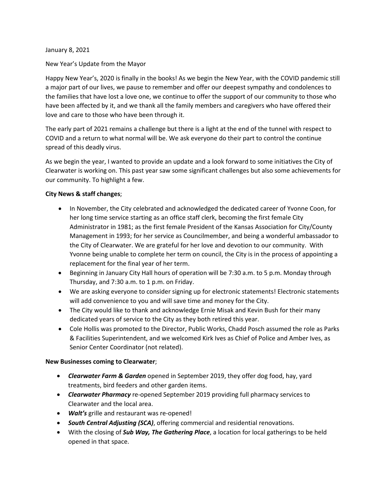January 8, 2021

New Year's Update from the Mayor

Happy New Year's, 2020 is finally in the books! As we begin the New Year, with the COVID pandemic still a major part of our lives, we pause to remember and offer our deepest sympathy and condolences to the families that have lost a love one, we continue to offer the support of our community to those who have been affected by it, and we thank all the family members and caregivers who have offered their love and care to those who have been through it.

The early part of 2021 remains a challenge but there is a light at the end of the tunnel with respect to COVID and a return to what normal will be. We ask everyone do their part to control the continue spread of this deadly virus.

As we begin the year, I wanted to provide an update and a look forward to some initiatives the City of Clearwater is working on. This past year saw some significant challenges but also some achievements for our community. To highlight a few.

### **City News & staff changes**;

- In November, the City celebrated and acknowledged the dedicated career of Yvonne Coon, for her long time service starting as an office staff clerk, becoming the first female City Administrator in 1981; as the first female President of the Kansas Association for City/County Management in 1993; for her service as Councilmember, and being a wonderful ambassador to the City of Clearwater. We are grateful for her love and devotion to our community. With Yvonne being unable to complete her term on council, the City is in the process of appointing a replacement for the final year of her term.
- Beginning in January City Hall hours of operation will be 7:30 a.m. to 5 p.m. Monday through Thursday, and 7:30 a.m. to 1 p.m. on Friday.
- We are asking everyone to consider signing up for electronic statements! Electronic statements will add convenience to you and will save time and money for the City.
- The City would like to thank and acknowledge Ernie Misak and Kevin Bush for their many dedicated years of service to the City as they both retired this year.
- Cole Hollis was promoted to the Director, Public Works, Chadd Posch assumed the role as Parks & Facilities Superintendent, and we welcomed Kirk Ives as Chief of Police and Amber Ives, as Senior Center Coordinator (not related).

#### **New Businesses coming to Clearwater**;

- *Clearwater Farm & Garden* opened in September 2019, they offer dog food, hay, yard treatments, bird feeders and other garden items.
- *Clearwater Pharmacy* re-opened September 2019 providing full pharmacy services to Clearwater and the local area.
- *Walt's* grille and restaurant was re-opened!
- *South Central Adjusting (SCA)*, offering commercial and residential renovations.
- With the closing of *Sub Way, The Gathering Place*, a location for local gatherings to be held opened in that space.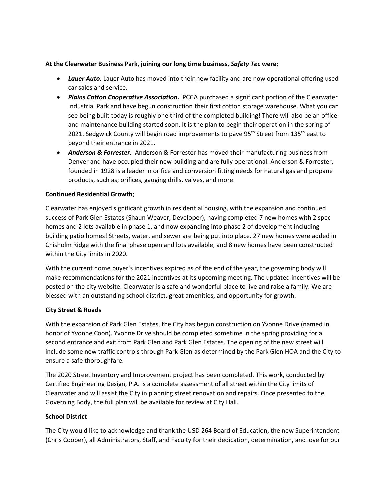### **At the Clearwater Business Park, joining our long time business,** *Safety Tec* **were**;

- *Lauer Auto.* Lauer Auto has moved into their new facility and are now operational offering used car sales and service.
- *Plains Cotton Cooperative Association.* PCCA purchased a significant portion of the Clearwater Industrial Park and have begun construction their first cotton storage warehouse. What you can see being built today is roughly one third of the completed building! There will also be an office and maintenance building started soon. It is the plan to begin their operation in the spring of 2021. Sedgwick County will begin road improvements to pave 95<sup>th</sup> Street from 135<sup>th</sup> east to beyond their entrance in 2021.
- *Anderson & Forrester.* Anderson & Forrester has moved their manufacturing business from Denver and have occupied their new building and are fully operational. Anderson & Forrester, founded in 1928 is a leader in orifice and conversion fitting needs for natural gas and propane products, such as; orifices, gauging drills, valves, and more.

# **Continued Residential Growth**;

Clearwater has enjoyed significant growth in residential housing, with the expansion and continued success of Park Glen Estates (Shaun Weaver, Developer), having completed 7 new homes with 2 spec homes and 2 lots available in phase 1, and now expanding into phase 2 of development including building patio homes! Streets, water, and sewer are being put into place. 27 new homes were added in Chisholm Ridge with the final phase open and lots available, and 8 new homes have been constructed within the City limits in 2020.

With the current home buyer's incentives expired as of the end of the year, the governing body will make recommendations for the 2021 incentives at its upcoming meeting. The updated incentives will be posted on the city website. Clearwater is a safe and wonderful place to live and raise a family. We are blessed with an outstanding school district, great amenities, and opportunity for growth.

# **City Street & Roads**

With the expansion of Park Glen Estates, the City has begun construction on Yvonne Drive (named in honor of Yvonne Coon). Yvonne Drive should be completed sometime in the spring providing for a second entrance and exit from Park Glen and Park Glen Estates. The opening of the new street will include some new traffic controls through Park Glen as determined by the Park Glen HOA and the City to ensure a safe thoroughfare.

The 2020 Street Inventory and Improvement project has been completed. This work, conducted by Certified Engineering Design, P.A. is a complete assessment of all street within the City limits of Clearwater and will assist the City in planning street renovation and repairs. Once presented to the Governing Body, the full plan will be available for review at City Hall.

# **School District**

The City would like to acknowledge and thank the USD 264 Board of Education, the new Superintendent (Chris Cooper), all Administrators, Staff, and Faculty for their dedication, determination, and love for our